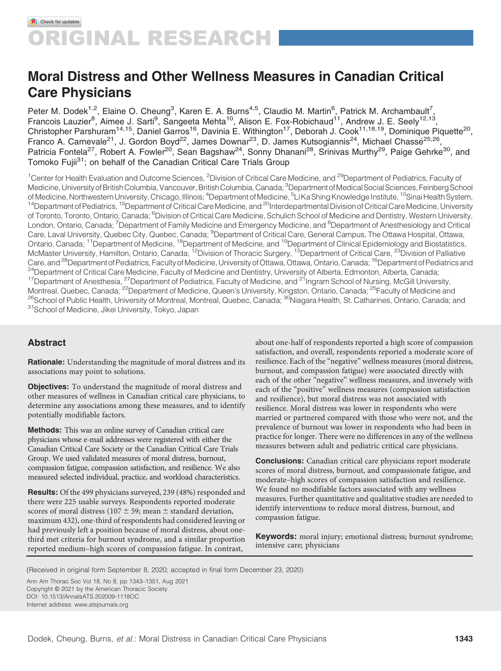# Moral Distress and Other Wellness Measures in Canadian Critical Care Physicians

Peter M. Dodek<sup>1,2</sup>, Elaine O. Cheung<sup>3</sup>, Karen E. A. Burns<sup>4,5</sup>, Claudio M. Martin<sup>6</sup>, Patrick M. Archambault<sup>7</sup>, Francois Lauzier<sup>8</sup>, Aimee J. Sarti<sup>9</sup>, Sangeeta Mehta<sup>10</sup>, Alison E. Fox-Robichaud<sup>11</sup>, Andrew J. E. Seely<sup>12,13</sup>, Christopher Parshuram<sup>14,15</sup>, Daniel Garros<sup>16</sup>, Davinia E. Withington<sup>17</sup>, Deborah J. Cook<sup>11,18,19</sup>, Dominique Piquette<sup>20</sup>, Franco A. Carnevale<sup>21</sup>, J. Gordon Boyd<sup>22</sup>, James Downar<sup>23</sup>, D. James Kutsogiannis<sup>24</sup>, Michael Chassé<sup>25,26</sup>, Patricia Fontela<sup>27</sup>, Robert A. Fowler<sup>20</sup>, Sean Bagshaw<sup>24</sup>, Sonny Dhanani<sup>28</sup>, Srinivas Murthy<sup>29</sup>, Paige Gehrke<sup>30</sup>, and Tomoko Fujii<sup>31</sup>; on behalf of the Canadian Critical Care Trials Group

<sup>1</sup>Center for Health Evaluation and Outcome Sciences, <sup>2</sup>Division of Critical Care Medicine, and <sup>29</sup>Department of Pediatrics, Faculty of Medicine, University of British Columbia, Vancouver, British Columbia, Canada; <sup>3</sup>Department of Medical Social Sciences, Feinberg School of Medicine, Northwestern University, Chicago, Illinois; <sup>4</sup>Department of Medicine, <sup>5</sup>Li Ka Shing Knowledge Institute, <sup>10</sup>Sinai Health System,<br><sup>14</sup>Department of Pediatrics, <sup>15</sup>Department of Critical Care Medicine, and <sup></sup> of Toronto, Toronto, Ontario, Canada; <sup>6</sup>Division of Critical Care Medicine, Schulich School of Medicine and Dentistry, Western University, London, Ontario, Canada; <sup>7</sup>Department of Family Medicine and Emergency Medicine, and <sup>8</sup>Department of Anesthesiology and Critica Care, Laval University, Quebec City, Quebec, Canada; <sup>9</sup>Department of Critical Care, General Campus, The Ottawa Hospital, Ottawa, Ontario, Canada; <sup>11</sup>Department of Medicine, <sup>18</sup>Department of Medicine, and <sup>19</sup>Department of Clinical Epidemiology and Biostatistics, McMaster University, Hamilton, Ontario, Canada; <sup>12</sup>Division of Thoracic Surgery, <sup>13</sup>Department of Critical Care, <sup>23</sup>Division of Palliative<br>Care, and <sup>28</sup>Department of Pediatrics, Faculty of Medicine, University of Ottaw <sup>24</sup>Department of Critical Care Medicine, Faculty of Medicine and Dentistry, University of Alberta, Edmonton, Alberta, Canada;<br><sup>17</sup>Department of Anesthesia, <sup>27</sup>Department of Pediatrics, Faculty of Medicine, and <sup>21</sup>Ingram <sup>26</sup>School of Public Health, University of Montreal, Montreal, Quebec, Canada; <sup>30</sup>Niagara Health, St. Catharines, Ontario, Canada; and<br><sup>31</sup>School of Medicine, Jikei University, Tokyo, Japan

# Abstract

Rationale: Understanding the magnitude of moral distress and its associations may point to solutions.

Objectives: To understand the magnitude of moral distress and other measures of wellness in Canadian critical care physicians, to determine any associations among these measures, and to identify potentially modifiable factors.

Methods: This was an online survey of Canadian critical care physicians whose e-mail addresses were registered with either the Canadian Critical Care Society or the Canadian Critical Care Trials Group. We used validated measures of moral distress, burnout, compassion fatigue, compassion satisfaction, and resilience. We also measured selected individual, practice, and workload characteristics.

Results: Of the 499 physicians surveyed, 239 (48%) responded and there were 225 usable surveys. Respondents reported moderate scores of moral distress (107  $\pm$  59; mean  $\pm$  standard deviation, maximum 432), one-third of respondents had considered leaving or had previously left a position because of moral distress, about onethird met criteria for burnout syndrome, and a similar proportion reported medium–high scores of compassion fatigue. In contrast,

about one-half of respondents reported a high score of compassion satisfaction, and overall, respondents reported a moderate score of resilience. Each of the "negative" wellness measures (moral distress, burnout, and compassion fatigue) were associated directly with each of the other "negative" wellness measures, and inversely with each of the "positive" wellness measures (compassion satisfaction and resilience), but moral distress was not associated with resilience. Moral distress was lower in respondents who were married or partnered compared with those who were not, and the prevalence of burnout was lower in respondents who had been in practice for longer. There were no differences in any of the wellness measures between adult and pediatric critical care physicians.

Conclusions: Canadian critical care physicians report moderate scores of moral distress, burnout, and compassionate fatigue, and moderate–high scores of compassion satisfaction and resilience. We found no modifiable factors associated with any wellness measures. Further quantitative and qualitative studies are needed to identify interventions to reduce moral distress, burnout, and compassion fatigue.

Keywords: moral injury; emotional distress; burnout syndrome; intensive care; physicians

(Received in original form September 8, 2020; accepted in final form December 23, 2020)

Ann Am Thorac Soc Vol 18, No 8, pp 1343–1351, Aug 2021 Copyright © 2021 by the American Thoracic Society DOI: [10.1513/AnnalsATS.202009-1118OC](http://dx.doi.org/10.1513/AnnalsATS.202009-1118OC) Internet address: www:[atsjournals](http://www.atsjournals.org):org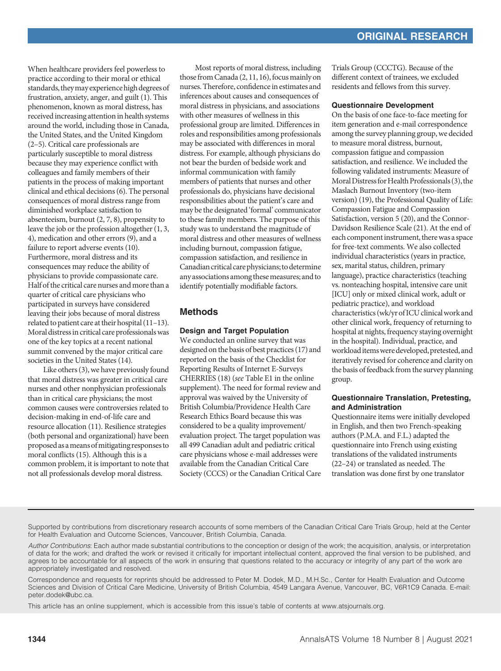When healthcare providers feel powerless to practice according to their moral or ethical standards, they may experience high degrees of frustration, anxiety, anger, and guilt [\(1\)](#page-7-0). This phenomenon, known as moral distress, has received increasing attention in health systems around the world, including those in Canada, the United States, and the United Kingdom ([2](#page-7-0)–[5\)](#page-7-0). Critical care professionals are particularly susceptible to moral distress because they may experience conflict with colleagues and family members of their patients in the process of making important clinical and ethical decisions [\(6](#page-7-0)). The personal consequences of moral distress range from diminished workplace satisfaction to absenteeism, burnout [\(2](#page-7-0), [7, 8](#page-7-0)), propensity to leave the job or the profession altogether [\(1](#page-7-0), [3](#page-7-0), [4\)](#page-7-0), medication and other errors [\(9\)](#page-7-0), and a failure to report adverse events [\(10\)](#page-7-0). Furthermore, moral distress and its consequences may reduce the ability of physicians to provide compassionate care. Half of the critical care nurses and more than a quarter of critical care physicians who participated in surveys have considered leaving their jobs because of moral distress related to patient care at their hospital [\(11](#page-7-0)[–](#page-7-0)[13](#page-7-0)). Moral distressin critical care professionalswas one of the key topics at a recent national summit convened by the major critical care societies in the United States [\(14\)](#page-7-0).

Like others [\(3](#page-7-0)), we have previously found that moral distress was greater in critical care nurses and other nonphysician professionals than in critical care physicians; the most common causes were controversies related to decision-making in end-of-life care and resource allocation [\(11\)](#page-7-0). Resilience strategies (both personal and organizational) have been proposedas ameans ofmitigating responses to moral conflicts [\(15\)](#page-7-0). Although this is a common problem, it is important to note that not all professionals develop moral distress.

Most reports of moral distress, including those from Canada  $(2, 11, 16)$  $(2, 11, 16)$  $(2, 11, 16)$  $(2, 11, 16)$  $(2, 11, 16)$  $(2, 11, 16)$  $(2, 11, 16)$ , focus mainly on nurses. Therefore, confidence in estimates and inferences about causes and consequences of moral distress in physicians, and associations with other measures of wellness in this professional group are limited. Differences in roles and responsibilities among professionals may be associated with differences in moral distress. For example, although physicians do not bear the burden of bedside work and informal communication with family members of patients that nurses and other professionals do, physicians have decisional responsibilities about the patient's care and may be the designated 'formal' communicator to these family members. The purpose of this study was to understand the magnitude of moral distress and other measures of wellness including burnout, compassion fatigue, compassion satisfaction, and resilience in Canadian critical care physicians; to determine any associations among thesemeasures; and to identify potentially modifiable factors.

# Methods

# Design and Target Population

We conducted an online survey that was designed on the basis of best practices ([17](#page-7-0)) and reported on the basis of the Checklist for Reporting Results of Internet E-Surveys CHERRIES [\(18](#page-7-0)) (see Table E1 in the online supplement). The need for formal review and approval was waived by the University of British Columbia/Providence Health Care Research Ethics Board because this was considered to be a quality improvement/ evaluation project. The target population was all 499 Canadian adult and pediatric critical care physicians whose e-mail addresses were available from the Canadian Critical Care Society (CCCS) or the Canadian Critical Care

Trials Group (CCCTG). Because of the different context of trainees, we excluded residents and fellows from this survey.

#### Questionnaire Development

On the basis of one face-to-face meeting for item generation and e-mail correspondence among the survey planning group, we decided to measure moral distress, burnout, compassion fatigue and compassion satisfaction, and resilience. We included the following validated instruments: Measure of Moral Distress for Health Professionals [\(3\)](#page-7-0), the Maslach Burnout Inventory (two-item version) [\(19\)](#page-7-0), the Professional Quality of Life: Compassion Fatigue and Compassion Satisfaction, version 5 [\(20\)](#page-7-0), and the Connor-Davidson Resilience Scale [\(21\)](#page-7-0). At the end of each component instrument, there was a space for free-text comments. We also collected individual characteristics (years in practice, sex, marital status, children, primary language), practice characteristics (teaching vs. nonteaching hospital, intensive care unit [ICU] only or mixed clinical work, adult or pediatric practice), and workload characteristics (wk/yr of ICU clinicalwork and other clinical work, frequency of returning to hospital at nights, frequency staying overnight in the hospital). Individual, practice, and workload items were developed, pretested, and iteratively revised for coherence and clarity on the basis of feedback from the survey planning group.

## Questionnaire Translation, Pretesting, and Administration

Questionnaire items were initially developed in English, and then two French-speaking authors (P.M.A. and F.L.) adapted the questionnaire into French using existing translations of the validated instruments [\(22](#page-7-0)[–](#page-7-0)[24\)](#page-7-0) or translated as needed. The translation was done first by one translator

Supported by contributions from discretionary research accounts of some members of the Canadian Critical Care Trials Group, held at the Center for Health Evaluation and Outcome Sciences, Vancouver, British Columbia, Canada.

Author Contributions: Each author made substantial contributions to the conception or design of the work; the acquisition, analysis, or interpretation of data for the work; and drafted the work or revised it critically for important intellectual content, approved the final version to be published, and agrees to be accountable for all aspects of the work in ensuring that questions related to the accuracy or integrity of any part of the work are appropriately investigated and resolved.

Correspondence and requests for reprints should be addressed to Peter M. Dodek, M.D., M.H.Sc., Center for Health Evaluation and Outcome Sciences and Division of Critical Care Medicine, University of British Columbia, 4549 Langara Avenue, Vancouver, BC, V6R1C9 Canada. E-mail: [peter.dodek@ubc.ca](http://www.atsjournals.org/).

This article has an online supplement, which is accessible from this issue's table of contents at [www.atsjournals.org.](http://www.atsjournals.org/)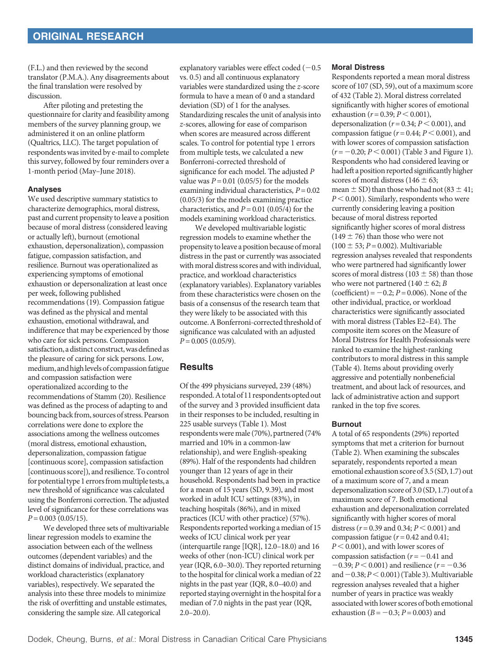(F.L.) and then reviewed by the second translator (P.M.A.). Any disagreements about the final translation were resolved by discussion.

After piloting and pretesting the questionnaire for clarity and feasibility among members of the survey planning group, we administered it on an online platform (Qualtrics, LLC). The target population of respondentswas invited by e-mail to complete this survey, followed by four reminders over a 1-month period (May–June 2018).

## Analyses

We used descriptive summary statistics to characterize demographics, moral distress, past and current propensity to leave a position because of moral distress (considered leaving or actually left), burnout (emotional exhaustion, depersonalization), compassion fatigue, compassion satisfaction, and resilience. Burnout was operationalized as experiencing symptoms of emotional exhaustion or depersonalization at least once per week, following published recommendations [\(19\)](#page-7-0). Compassion fatigue was defined as the physical and mental exhaustion, emotional withdrawal, and indifference that may be experienced by those who care for sick persons. Compassion satisfaction, a distinct construct, was defined as the pleasure of caring for sick persons. Low, medium, and high levels of compassion fatigue and compassion satisfaction were operationalized according to the recommendations of Stamm [\(20](#page-7-0)). Resilience was defined as the process of adapting to and bouncing backfrom, sources of stress. Pearson correlations were done to explore the associations among the wellness outcomes (moral distress, emotional exhaustion, depersonalization, compassion fatigue [continuous score], compassion satisfaction [continuous score]), and resilience. To control for potential type 1 errors from multiple tests, a new threshold of significance was calculated using the Bonferroni correction. The adjusted level of significance for these correlations was  $P = 0.003$  (0.05/15).

We developed three sets of multivariable linear regression models to examine the association between each of the wellness outcomes (dependent variables) and the distinct domains of individual, practice, and workload characteristics (explanatory variables), respectively. We separated the analysis into these three models to minimize the risk of overfitting and unstable estimates, considering the sample size. All categorical

explanatory variables were effect coded  $(-0.5)$ vs. 0.5) and all continuous explanatory variables were standardized using the z-score formula to have a mean of 0 and a standard deviation (SD) of 1 for the analyses. Standardizing rescales the unit of analysis into z-scores, allowing for ease of comparison when scores are measured across different scales. To control for potential type 1 errors from multiple tests, we calculated a new Bonferroni-corrected threshold of significance for each model. The adjusted P value was  $P = 0.01$  (0.05/5) for the models examining individual characteristics,  $P = 0.02$ (0.05/3) for the models examining practice characteristics, and  $P = 0.01$  (0.05/4) for the models examining workload characteristics.

We developed multivariable logistic regression models to examine whether the propensity to leave a position because of moral distress in the past or currently was associated with moral distress scores and with individual, practice, and workload characteristics (explanatory variables). Explanatory variables from these characteristics were chosen on the basis of a consensus of the research team that they were likely to be associated with this outcome.A Bonferroni-corrected threshold of significance was calculated with an adjusted  $P = 0.005 (0.05/9).$ 

# **Results**

Of the 499 physicians surveyed, 239 (48%) responded. A total of 11 respondents opted out of the survey and 3 provided insufficient data in their responses to be included, resulting in 225 usable surveys [\(Table 1\)](#page-3-0). Most respondentswere male (70%), partnered (74% married and 10% in a common-law relationship), and were English-speaking (89%). Half of the respondents had children younger than 12 years of age in their household. Respondents had been in practice for a mean of 15 years (SD, 9.39), and most worked in adult ICU settings (83%), in teaching hospitals (86%), and in mixed practices (ICU with other practice) (57%). Respondents reported working a median of 15 weeks of ICU clinical work per year (interquartile range [IQR], 12.0–18.0) and 16 weeks of other (non-ICU) clinical work per year (IQR, 6.0–30.0). They reported returning to the hospital for clinical work a median of 22 nights in the past year (IQR, 8.0–40.0) and reported staying overnight in the hospital for a median of 7.0 nights in the past year (IQR,  $2.0 - 20.0$ ).

#### Moral Distress

Respondents reported a mean moral distress score of 107 (SD, 59), out of a maximum score of 432 (Table [2\)](#page-4-0). Moral distress correlated significantly with higher scores of emotional exhaustion ( $r = 0.39; P \le 0.001$ ), depersonalization ( $r = 0.34; P \le 0.001$ ), and compassion fatigue ( $r = 0.44$ ;  $P < 0.001$ ), and with lower scores of compassion satisfaction  $(r = -0.20; P < 0.001)$  (Table [3](#page-4-0) and Figure [1](#page-6-0)). Respondents who had considered leaving or hadleft a position reported significantly higher scores of moral distress (146  $\pm$  63; mean  $\pm$  SD) than those who had not (83  $\pm$  41;  $P < 0.001$ ). Similarly, respondents who were currently considering leaving a position because of moral distress reported significantly higher scores of moral distress  $(149 \pm 76)$  than those who were not  $(100 \pm 53; P = 0.002)$ . Multivariable regression analyses revealed that respondents who were partnered had significantly lower scores of moral distress (103  $\pm$  58) than those who were not partnered (140  $\pm$  62; B (coefficient) =  $-0.2; P = 0.006$ ). None of the other individual, practice, or workload characteristics were significantly associated with moral distress (Tables E2–E4). The composite item scores on the Measure of Moral Distress for Health Professionals were ranked to examine the highest-ranking contributors to moral distress in this sample (Table [4](#page-5-0)). Items about providing overly aggressive and potentially nonbeneficial treatment, and about lack of resources, and lack of administrative action and support ranked in the top five scores.

## Burnout

A total of 65 respondents (29%) reported symptoms that met a criterion for burnout (Table [2](#page-4-0)). When examining the subscales separately, respondents reported a mean emotional exhaustion score of 3.5 (SD, 1.7) out of a maximum score of 7, and a mean depersonalization score of3.0 (SD,1.7) out of a maximum score of 7. Both emotional exhaustion and depersonalization correlated significantly with higher scores of moral distress ( $r = 0.39$  and 0.34;  $P < 0.001$ ) and compassion fatigue ( $r = 0.42$  and 0.41;  $P < 0.001$ ), and with lower scores of compassion satisfaction  $(r = -0.41$  and  $-0.39; P < 0.001$ ) and resilience (r = -0.36 and  $-0.38; P < 0.001$  $-0.38; P < 0.001$  $-0.38; P < 0.001$  (Table 3). Multivariable regression analyses revealed that a higher number of years in practice was weakly associated with lower scores of both emotional exhaustion ( $B = -0.3; P = 0.003$ ) and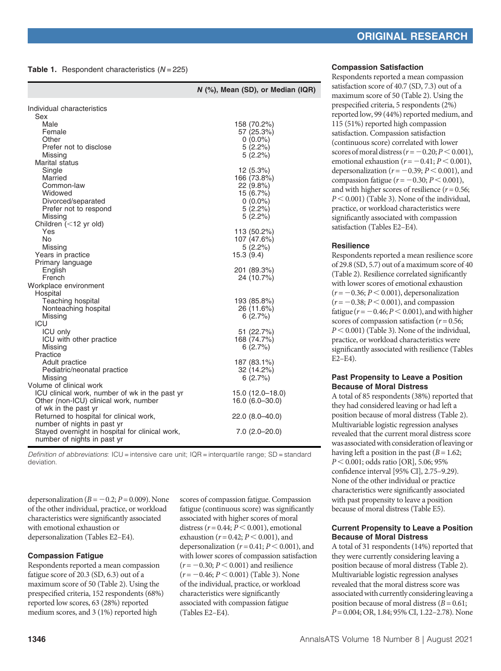## <span id="page-3-0"></span>**Table 1.** Respondent characteristics  $(N = 225)$

|                                                                                         | N (%), Mean (SD), or Median (IQR)       |
|-----------------------------------------------------------------------------------------|-----------------------------------------|
| Individual characteristics                                                              |                                         |
| Sex                                                                                     |                                         |
| Male                                                                                    | 158 (70.2%)                             |
| Female                                                                                  | 57 (25.3%)                              |
| Other                                                                                   | $0(0.0\%)$                              |
| Prefer not to disclose                                                                  | 5(2.2%)                                 |
| Missing                                                                                 | 5(2.2%)                                 |
| Marital status                                                                          |                                         |
| Single                                                                                  | 12 (5.3%)                               |
| Married                                                                                 | 166 (73.8%)                             |
| Common-law                                                                              | 22 (9.8%)                               |
| Widowed<br>Divorced/separated                                                           | 15 (6.7%)<br>$0(0.0\%)$                 |
| Prefer not to respond                                                                   | 5(2.2%)                                 |
| Missing                                                                                 | 5(2.2%)                                 |
| Children (<12 yr old)                                                                   |                                         |
| Yes                                                                                     | 113 (50.2%)                             |
| <b>No</b>                                                                               | 107 (47.6%)                             |
| Missing                                                                                 | 5(2.2%)                                 |
| Years in practice                                                                       | 15.3(9.4)                               |
| Primary language                                                                        |                                         |
| English                                                                                 | 201 (89.3%)                             |
| French                                                                                  | 24 (10.7%)                              |
| Workplace environment                                                                   |                                         |
| Hospital<br>Teaching hospital                                                           | 193 (85.8%)                             |
| Nonteaching hospital                                                                    | 26 (11.6%)                              |
| Missing                                                                                 | 6(2.7%)                                 |
| ICU                                                                                     |                                         |
| <b>ICU only</b>                                                                         | 51 (22.7%)                              |
| ICU with other practice                                                                 | 168 (74.7%)                             |
| Missing                                                                                 | 6(2.7%)                                 |
| Practice                                                                                |                                         |
| Adult practice                                                                          | 187 (83.1%)                             |
| Pediatric/neonatal practice                                                             | 32 (14.2%)                              |
| Missing                                                                                 | 6(2.7%)                                 |
| Volume of clinical work                                                                 |                                         |
| ICU clinical work, number of wk in the past yr<br>Other (non-ICU) clinical work, number | 15.0 (12.0-18.0)<br>$16.0 (6.0 - 30.0)$ |
| of wk in the past yr                                                                    |                                         |
| Returned to hospital for clinical work,                                                 | 22.0 (8.0–40.0)                         |
| number of nights in past yr                                                             |                                         |
| Stayed overnight in hospital for clinical work,                                         | $7.0$ (2.0-20.0)                        |
| number of nights in past yr                                                             |                                         |

Definition of abbreviations: ICU = intensive care unit; IQR = interquartile range; SD = standard deviation.

depersonalization ( $B = -0.2; P = 0.009$ ). None of the other individual, practice, or workload characteristics were significantly associated with emotional exhaustion or depersonalization (Tables E2–E4).

#### Compassion Fatigue

Respondents reported a mean compassion fatigue score of 20.3 (SD, 6.3) out of a maximum score of 50 (Table [2\)](#page-4-0). Using the prespecified criteria, 152 respondents (68%) reported low scores, 63 (28%) reported medium scores, and 3 (1%) reported high

scores of compassion fatigue. Compassion fatigue (continuous score) was significantly associated with higher scores of moral distress ( $r = 0.44$ ;  $P < 0.001$ ), emotional exhaustion ( $r = 0.42; P < 0.001$ ), and depersonalization ( $r = 0.41$ ;  $P < 0.001$ ), and with lower scores of compassion satisfaction  $(r = -0.30; P < 0.001)$  and resilience  $(r = -0.46; P < 0.001)$  (Table [3](#page-4-0)). None of the individual, practice, or workload characteristics were significantly associated with compassion fatigue (Tables E2–E4).

#### Compassion Satisfaction

Respondents reported a mean compassion satisfaction score of 40.7 (SD, 7.3) out of a maximum score of 50 (Table [2](#page-4-0)). Using the prespecified criteria, 5 respondents (2%) reported low, 99 (44%) reported medium, and 115 (51%) reported high compassion satisfaction. Compassion satisfaction (continuous score) correlated with lower scores of moral distress  $(r = -0.20; P \le 0.001)$ , emotional exhaustion  $(r = -0.41; P \le 0.001)$ , depersonalization ( $r = -0.39; P < 0.001$ ), and compassion fatigue ( $r = -0.30; P \le 0.001$ ), and with higher scores of resilience  $(r = 0.56;$  $P < 0.001$ ) (Table [3\)](#page-4-0). None of the individual, practice, or workload characteristics were significantly associated with compassion satisfaction (Tables E2–E4).

#### **Resilience**

Respondents reported a mean resilience score of 29.8 (SD, 5.7) out of a maximum score of 40 (Table [2](#page-4-0)). Resilience correlated significantly with lower scores of emotional exhaustion  $(r = -0.36; P < 0.001)$ , depersonalization  $(r = -0.38; P < 0.001)$ , and compassion fatigue ( $r = -0.46; P < 0.001$ ), and with higher scores of compassion satisfaction ( $r = 0.56$ ;  $P < 0.001$ ) (Table [3\)](#page-4-0). None of the individual, practice, or workload characteristics were significantly associated with resilience (Tables E2–E4).

#### Past Propensity to Leave a Position Because of Moral Distress

A total of 85 respondents (38%) reported that they had considered leaving or had left a position because of moral distress (Table [2](#page-4-0)). Multivariable logistic regression analyses revealed that the current moral distress score was associatedwith consideration ofleaving or having left a position in the past  $(B = 1.62)$ ;  $P < 0.001$ ; odds ratio [OR], 5.06; 95% confidence interval [95% CI], 2.75–9.29). None of the other individual or practice characteristics were significantly associated with past propensity to leave a position because of moral distress (Table E5).

## Current Propensity to Leave a Position Because of Moral Distress

A total of 31 respondents (14%) reported that they were currently considering leaving a position because of moral distress (Table [2](#page-4-0)). Multivariable logistic regression analyses revealed that the moral distress score was associated with currently considering leaving a position because of moral distress  $(B = 0.61;$ P = 0.004; OR, 1.84; 95% CI, 1.22–2.78). None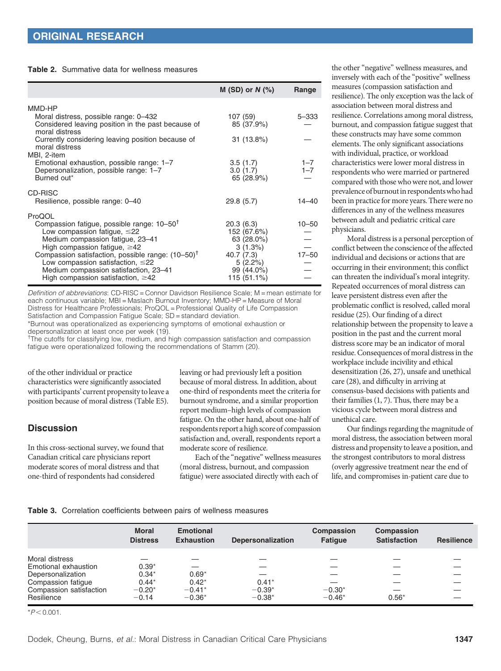<span id="page-4-0"></span>Table 2. Summative data for wellness measures

|                                                                                                                                                                                                                                                                                                                                                                    | $M(SD)$ or $N(\%)$                                                                                      | Range                  |
|--------------------------------------------------------------------------------------------------------------------------------------------------------------------------------------------------------------------------------------------------------------------------------------------------------------------------------------------------------------------|---------------------------------------------------------------------------------------------------------|------------------------|
|                                                                                                                                                                                                                                                                                                                                                                    |                                                                                                         |                        |
| MMD-HP<br>Moral distress, possible range: 0-432<br>Considered leaving position in the past because of<br>moral distress                                                                                                                                                                                                                                            | 107 (59)<br>85 (37.9%)                                                                                  | 5-333                  |
| Currently considering leaving position because of<br>moral distress<br>MBI, 2-item                                                                                                                                                                                                                                                                                 | 31 (13.8%)                                                                                              |                        |
| Emotional exhaustion, possible range: 1-7<br>Depersonalization, possible range: 1-7<br>Burned out*                                                                                                                                                                                                                                                                 | 3.5(1.7)<br>3.0(1.7)<br>65 (28.9%)                                                                      | $1 - 7$<br>$1 - 7$     |
| CD-RISC<br>Resilience, possible range: 0-40                                                                                                                                                                                                                                                                                                                        | 29.8(5.7)                                                                                               | $14 - 40$              |
| ProQOL<br>Compassion fatigue, possible range: $10-50^{\circ}$<br>Low compassion fatigue, $\leq$ 22<br>Medium compassion fatigue, 23-41<br>High compassion fatigue, $\geq$ 42<br>Compassion satisfaction, possible range: $(10-50)^T$<br>Low compassion satisfaction, $\leq$ 22<br>Medium compassion satisfaction, 23-41<br>High compassion satisfaction, $\geq$ 42 | 20.3(6.3)<br>152 (67.6%)<br>63 (28.0%)<br>3(1.3%)<br>40.7 (7.3)<br>5(2.2%)<br>99 (44.0%)<br>115 (51.1%) | $10 - 50$<br>$17 - 50$ |

Definition of abbreviations: CD-RISC = Connor Davidson Resilience Scale; M = mean estimate for each continuous variable; MBI = Maslach Burnout Inventory; MMD-HP = Measure of Moral Distress for Healthcare Professionals; ProQOL = Professional Quality of Life Compassion Satisfaction and Compassion Fatigue Scale; SD = standard deviation.

\*Burnout was operationalized as experiencing symptoms of emotional exhaustion or depersonalization at least once per week [\(19](#page-7-0)).

<sup>†</sup>The cutoffs for classifying low, medium, and high compassion satisfaction and compassion fatigue were operationalized following the recommendations of Stamm ([20\)](#page-7-0).

of the other individual or practice characteristics were significantly associated with participants' current propensity to leave a position because of moral distress (Table E5).

# **Discussion**

In this cross-sectional survey, we found that Canadian critical care physicians report moderate scores of moral distress and that one-third of respondents had considered

leaving or had previously left a position because of moral distress. In addition, about one-third of respondents meet the criteria for burnout syndrome, and a similar proportion report medium–high levels of compassion fatigue. On the other hand, about one-half of respondents report a high score of compassion satisfaction and, overall, respondents report a moderate score of resilience.

Each of the "negative" wellness measures (moral distress, burnout, and compassion fatigue) were associated directly with each of

the other "negative" wellness measures, and inversely with each of the "positive" wellness measures (compassion satisfaction and resilience). The only exception was the lack of association between moral distress and resilience. Correlations among moral distress, burnout, and compassion fatigue suggest that these constructs may have some common elements. The only significant associations with individual, practice, or workload characteristics were lower moral distress in respondents who were married or partnered compared with those who were not, and lower prevalence of burnoutin respondentswho had been in practice for more years. There were no differences in any of the wellness measures between adult and pediatric critical care physicians.

Moral distress is a personal perception of conflict between the conscience of the affected individual and decisions or actions that are occurring in their environment; this conflict can threaten the individual's moral integrity. Repeated occurrences of moral distress can leave persistent distress even after the problematic conflict is resolved, called moral residue [\(25\)](#page-7-0). Our finding of a direct relationship between the propensity to leave a position in the past and the current moral distress score may be an indicator of moral residue. Consequences of moral distress in the workplace include incivility and ethical desensitization [\(26](#page-7-0), [27\)](#page-7-0), unsafe and unethical care [\(28](#page-8-0)), and difficulty in arriving at consensus-based decisions with patients and their families [\(1](#page-7-0), [7\)](#page-7-0). Thus, there may be a vicious cycle between moral distress and unethical care.

Our findings regarding the magnitude of moral distress, the association between moral distress and propensity to leave a position, and the strongest contributors to moral distress (overly aggressive treatment near the end of life, and compromises in-patient care due to

## Table 3. Correlation coefficients between pairs of wellness measures

|                         | <b>Moral</b><br><b>Distress</b> | <b>Emotional</b><br><b>Exhaustion</b> | <b>Depersonalization</b> | Compassion<br><b>Fatique</b> | Compassion<br><b>Satisfaction</b> | <b>Resilience</b> |
|-------------------------|---------------------------------|---------------------------------------|--------------------------|------------------------------|-----------------------------------|-------------------|
| Moral distress          |                                 |                                       |                          |                              |                                   |                   |
| Emotional exhaustion    | $0.39*$                         |                                       |                          |                              |                                   |                   |
| Depersonalization       | $0.34*$                         | $0.69*$                               |                          |                              |                                   |                   |
| Compassion fatigue      | $0.44*$                         | $0.42*$                               | $0.41*$                  |                              |                                   |                   |
| Compassion satisfaction | $-0.20*$                        | $-0.41*$                              | $-0.39*$                 | $-0.30*$                     |                                   |                   |
| Resilience              | $-0.14$                         | $-0.36*$                              | $-0.38*$                 | $-0.46*$                     | $0.56*$                           |                   |

 $*P < 0.001$ .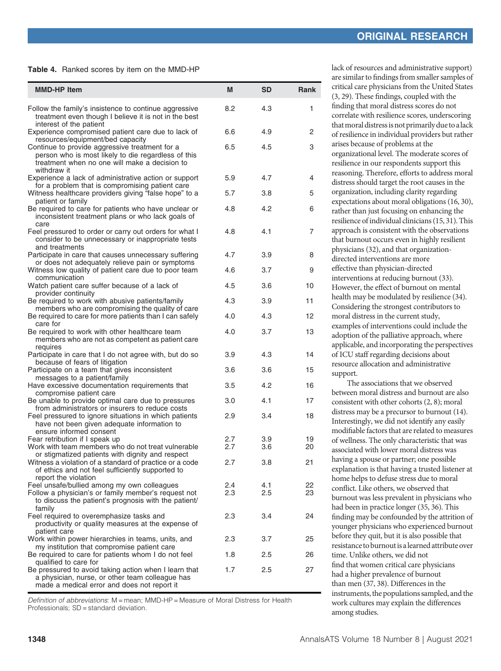<span id="page-5-0"></span>Table 4. Ranked scores by item on the MMD-HP

| <b>MMD-HP Item</b>                                                                                                                                                               | M          | <b>SD</b>  | Rank     |
|----------------------------------------------------------------------------------------------------------------------------------------------------------------------------------|------------|------------|----------|
| Follow the family's insistence to continue aggressive<br>treatment even though I believe it is not in the best                                                                   | 8.2        | 4.3        | 1        |
| interest of the patient<br>Experience compromised patient care due to lack of<br>resources/equipment/bed capacity                                                                | 6.6        | 4.9        | 2        |
| Continue to provide aggressive treatment for a<br>person who is most likely to die regardless of this<br>treatment when no one will make a decision to<br>withdraw it            | 6.5        | 4.5        | 3        |
| Experience a lack of administrative action or support<br>for a problem that is compromising patient care                                                                         | 5.9        | 4.7        | 4        |
| Witness healthcare providers giving "false hope" to a                                                                                                                            | 5.7        | 3.8        | 5        |
| patient or family<br>Be required to care for patients who have unclear or<br>inconsistent treatment plans or who lack goals of<br>care                                           | 4.8        | 4.2        | 6        |
| Feel pressured to order or carry out orders for what I<br>consider to be unnecessary or inappropriate tests<br>and treatments                                                    | 4.8        | 4.1        | 7        |
| Participate in care that causes unnecessary suffering                                                                                                                            | 4.7        | 3.9        | 8        |
| or does not adequately relieve pain or symptoms<br>Witness low quality of patient care due to poor team                                                                          | 4.6        | 3.7        | 9        |
| communication<br>Watch patient care suffer because of a lack of<br>provider continuity                                                                                           | 4.5        | 3.6        | 10       |
| Be required to work with abusive patients/family                                                                                                                                 | 4.3        | 3.9        | 11       |
| members who are compromising the quality of care<br>Be required to care for more patients than I can safely                                                                      | 4.0        | 4.3        | 12       |
| care for<br>Be required to work with other healthcare team<br>members who are not as competent as patient care<br>requires                                                       | 4.0        | 3.7        | 13       |
| Participate in care that I do not agree with, but do so<br>because of fears of litigation                                                                                        | 3.9        | 4.3        | 14       |
| Participate on a team that gives inconsistent                                                                                                                                    | 3.6        | 3.6        | 15       |
| messages to a patient/family<br>Have excessive documentation requirements that                                                                                                   | 3.5        | 4.2        | 16       |
| compromise patient care<br>Be unable to provide optimal care due to pressures                                                                                                    | 3.0        | 4.1        | 17       |
| from administrators or insurers to reduce costs<br>Feel pressured to ignore situations in which patients<br>have not been given adequate information to                          | 2.9        | 3.4        | 18       |
| ensure informed consent<br>Fear retribution if I speak up                                                                                                                        | 2.7        | 3.9        | 19       |
| Work with team members who do not treat vulnerable<br>or stigmatized patients with dignity and respect                                                                           | 2.7        | 3.6        | 20       |
| Witness a violation of a standard of practice or a code<br>of ethics and not feel sufficiently supported to<br>report the violation                                              | 2.7        | 3.8        | 21       |
| Feel unsafe/bullied among my own colleagues<br>Follow a physician's or family member's request not<br>to discuss the patient's prognosis with the patient/                       | 2.4<br>2.3 | 4.1<br>2.5 | 22<br>23 |
| family<br>Feel required to overemphasize tasks and<br>productivity or quality measures at the expense of<br>patient care                                                         | 2.3        | 3.4        | 24       |
| Work within power hierarchies in teams, units, and                                                                                                                               | 2.3        | 3.7        | 25       |
| my institution that compromise patient care<br>Be required to care for patients whom I do not feel                                                                               | 1.8        | 2.5        | 26       |
| qualified to care for<br>Be pressured to avoid taking action when I learn that<br>a physician, nurse, or other team colleague has<br>made a medical error and does not report it | 1.7        | $2.5\,$    | 27       |

Definition of abbreviations: M = mean; MMD-HP = Measure of Moral Distress for Health Professionals; SD = standard deviation.

lack of resources and administrative support) are similar to findings from smaller samples of critical care physicians from the United States [\(3,](#page-7-0) [29\)](#page-8-0). These findings, coupled with the finding that moral distress scores do not correlate with resilience scores, underscoring that moral distress is not primarily due to a lack of resilience in individual providers but rather arises because of problems at the organizational level. The moderate scores of resilience in our respondents support this reasoning. Therefore, efforts to address moral distress should target the root causes in the organization, including clarity regarding expectations about moral obligations ([16,](#page-7-0) [30](#page-8-0)), rather than just focusing on enhancing the resilience of individual clinicians ([15](#page-7-0), [31](#page-8-0)). This approach is consistent with the observations that burnout occurs even in highly resilient physicians [\(32](#page-8-0)), and that organizationdirected interventions are more effective than physician-directed interventions at reducing burnout ([33](#page-8-0)). However, the effect of burnout on mental health may be modulated by resilience [\(34](#page-8-0)). Considering the strongest contributors to moral distress in the current study, examples of interventions could include the adoption of the palliative approach, where applicable, and incorporating the perspectives of ICU staff regarding decisions about resource allocation and administrative support.

The associations that we observed between moral distress and burnout are also consistent with other cohorts [\(2, 8\)](#page-7-0); moral distress may be a precursor to burnout [\(14](#page-7-0)). Interestingly, we did not identify any easily modifiable factors that are related to measures of wellness. The only characteristic that was associated with lower moral distress was having a spouse or partner; one possible explanation is that having a trusted listener at home helps to defuse stress due to moral conflict. Like others, we observed that burnout was less prevalent in physicians who had been in practice longer [\(35, 36](#page-8-0)). This finding may be confounded by the attrition of younger physicians who experienced burnout before they quit, but it is also possible that resistance to burnout is a learned attribute over time. Unlike others, we did not find that women critical care physicians had a higher prevalence of burnout than men ([37](#page-8-0), [38](#page-8-0)). Differences in the instruments, the populations sampled, and the work cultures may explain the differences among studies.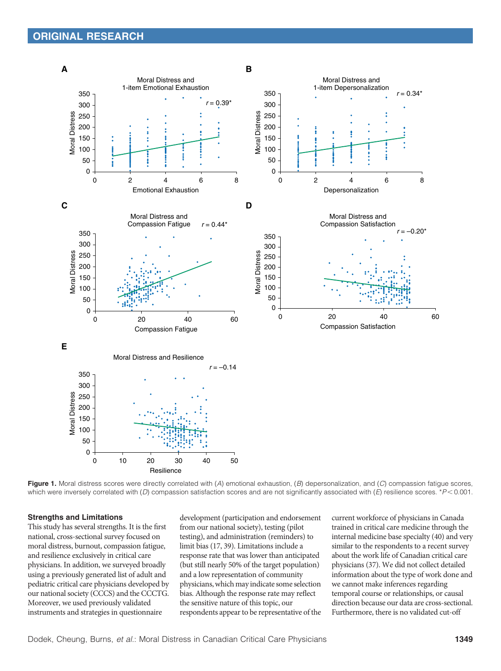<span id="page-6-0"></span>

Figure 1. Moral distress scores were directly correlated with (A) emotional exhaustion,  $(B)$  depersonalization, and (C) compassion fatigue scores, which were inversely correlated with  $(D)$  compassion satisfaction scores and are not significantly associated with  $(E)$  resilience scores. \* $P < 0.001$ .

#### Strengths and Limitations

This study has several strengths. It is the first national, cross-sectional survey focused on moral distress, burnout, compassion fatigue, and resilience exclusively in critical care physicians. In addition, we surveyed broadly using a previously generated list of adult and pediatric critical care physicians developed by our national society (CCCS) and the CCCTG. Moreover, we used previously validated instruments and strategies in questionnaire

development (participation and endorsement from our national society), testing (pilot testing), and administration (reminders) to limit bias ([17](#page-7-0), [39](#page-8-0)). Limitations include a response rate that was lower than anticipated (but still nearly 50% of the target population) and a low representation of community physicians, which may indicate some selection bias. Although the response rate may reflect the sensitive nature of this topic, our respondents appear to be representative of the current workforce of physicians in Canada trained in critical care medicine through the internal medicine base specialty [\(40\)](#page-8-0) and very similar to the respondents to a recent survey about the work life of Canadian critical care physicians [\(37](#page-8-0)). We did not collect detailed information about the type of work done and we cannot make inferences regarding temporal course or relationships, or causal direction because our data are cross-sectional. Furthermore, there is no validated cut-off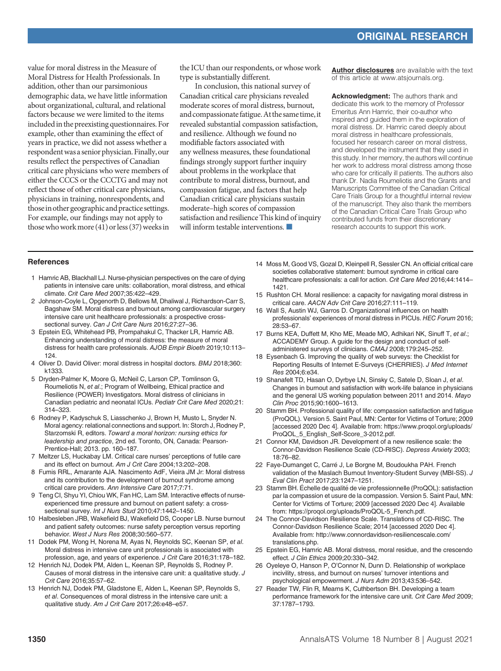<span id="page-7-0"></span>value for moral distress in the Measure of Moral Distress for Health Professionals. In addition, other than our parsimonious demographic data, we have little information about organizational, cultural, and relational factors because we were limited to the items included in the preexisting questionnaires. For example, other than examining the effect of years in practice, we did not assess whether a respondentwas a senior physician. Finally, our results reflect the perspectives of Canadian critical care physicians who were members of either the CCCS or the CCCTG and may not reflect those of other critical care physicians, physicians in training, nonrespondents, and those in other geographic and practice settings. For example, our findings may not apply to those who work more [\(41\)](#page-8-0) or less ([37](#page-8-0)) weeks in the ICU than our respondents, or whose work type is substantially different.

In conclusion, this national survey of Canadian critical care physicians revealed moderate scores of moral distress, burnout, and compassionate fatigue. At the same time, it revealed substantial compassion satisfaction, and resilience. Although we found no modifiable factors associated with any wellness measures, these foundational findings strongly support further inquiry about problems in the workplace that contribute to moral distress, burnout, and compassion fatigue, and factors that help Canadian critical care physicians sustain moderate–high scores of compassion satisfaction and resilience This kind of inquiry will inform testable interventions.

[Author disclosures](http://www.atsjournals.org/doi/suppl/10.1513/AnnalsATS.202009-1118OC/suppl_file/disclosures.pdf) are available with the text of this article at [www.atsjournals.org.](http://www.atsjournals.org)

Acknowledgment: The authors thank and dedicate this work to the memory of Professor Emeritus Ann Hamric, their co-author who inspired and guided them in the exploration of moral distress. Dr. Hamric cared deeply about moral distress in healthcare professionals, focused her research career on moral distress, and developed the instrument that they used in this study. In her memory, the authors will continue her work to address moral distress among those who care for critically ill patients. The authors also thank Dr. Nadia Roumeliotis and the Grants and Manuscripts Committee of the Canadian Critical Care Trials Group for a thoughtful internal review of the manuscript. They also thank the members of the Canadian Critical Care Trials Group who contributed funds from their discretionary research accounts to support this work.

#### **References**

- 1 Hamric AB, Blackhall LJ. Nurse-physician perspectives on the care of dying patients in intensive care units: collaboration, moral distress, and ethical climate. Crit Care Med 2007;35:422–429.
- 2 Johnson-Coyle L, Opgenorth D, Bellows M, Dhaliwal J, Richardson-Carr S, Bagshaw SM. Moral distress and burnout among cardiovascular surgery intensive care unit healthcare professionals: a prospective crosssectional survey. Can J Crit Care Nurs 2016;27:27-36.
- 3 Epstein EG, Whitehead PB, Prompahakul C, Thacker LR, Hamric AB. Enhancing understanding of moral distress: the measure of moral distress for health care professionals. AJOB Empir Bioeth 2019;10:113– 124.
- 4 Oliver D. David Oliver: moral distress in hospital doctors. BMJ 2018;360: k1333.
- 5 Dryden-Palmer K, Moore G, McNeil C, Larson CP, Tomlinson G, Roumeliotis N, et al.; Program of Wellbeing, Ethical practice and Resilience (POWER) Investigators. Moral distress of clinicians in Canadian pediatric and neonatal ICUs. Pediatr Crit Care Med 2020;21: 314–323.
- 6 Rodney P, Kadyschuk S, Liasschenko J, Brown H, Musto L, Snyder N. Moral agency: relational connections and support. In: Storch J, Rodney P, Starzomski R, editors. Toward a moral horizon: nursing ethics for leadership and practice, 2nd ed. Toronto, ON, Canada: Pearson-Prentice-Hall; 2013. pp. 160–187.
- 7 Meltzer LS, Huckabay LM. Critical care nurses' perceptions of futile care and its effect on burnout. Am J Crit Care 2004;13:202–208.
- 8 Fumis RRL, Amarante AJA. Nascimento AdF, Vieira JM Jr: Moral distress and its contribution to the development of burnout syndrome among critical care providers. Ann Intensive Care 2017;7:71.
- 9 Teng CI, Shyu YI, Chiou WK, Fan HC, Lam SM. Interactive effects of nurseexperienced time pressure and burnout on patient safety: a crosssectional survey. Int J Nurs Stud 2010;47:1442–1450.
- 10 Halbesleben JRB, Wakefield BJ, Wakefield DS, Cooper LB. Nurse burnout and patient safety outcomes: nurse safety perception versus reporting behavior. West J Nurs Res 2008;30:560–577.
- 11 Dodek PM, Wong H, Norena M, Ayas N, Reynolds SC, Keenan SP, et al. Moral distress in intensive care unit professionals is associated with profession, age, and years of experience. J Crit Care 2016;31:178–182.
- 12 Henrich NJ, Dodek PM, Alden L, Keenan SP, Reynolds S, Rodney P. Causes of moral distress in the intensive care unit: a qualitative study. J Crit Care 2016;35:57–62.
- 13 Henrich NJ, Dodek PM, Gladstone E, Alden L, Keenan SP, Reynolds S, et al. Consequences of moral distress in the intensive care unit: a qualitative study. Am J Crit Care 2017;26:e48–e57.
- 14 Moss M, Good VS, Gozal D, Kleinpell R, Sessler CN. An official critical care societies collaborative statement: burnout syndrome in critical care healthcare professionals: a call for action. Crit Care Med 2016;44:1414– 1421.
- 15 Rushton CH. Moral resilience: a capacity for navigating moral distress in critical care. AACN Adv Crit Care 2016;27:111–119.
- 16 Wall S, Austin WJ, Garros D. Organizational influences on health professionals' experiences of moral distress in PICUs. HEC Forum 2016; 28:53–67.
- 17 Burns KEA, Duffett M, Kho ME, Meade MO, Adhikari NK, Sinuff T, et al.; ACCADEMY Group. A guide for the design and conduct of selfadministered surveys of clinicians. CMAJ 2008;179:245–252.
- 18 Eysenbach G. Improving the quality of web surveys: the Checklist for Reporting Results of Internet E-Surveys (CHERRIES). J Med Internet Res 2004;6:e34.
- 19 Shanafelt TD, Hasan O, Dyrbye LN, Sinsky C, Satele D, Sloan J, et al. Changes in burnout and satisfaction with work-life balance in physicians and the general US working population between 2011 and 2014. Mayo Clin Proc 2015;90:1600–1613.
- 20 Stamm BH. Professional quality of life: compassion satisfaction and fatigue (ProQOL). Version 5. Saint Paul, MN: Center for Victims of Torture; 2009 [accessed 2020 Dec 4]. Available from: [https://www.proqol.org/uploads/](https://www.proqol.org/uploads/ProQOL_5_English_Self-Score_3-2012.pdf) [ProQOL\\_5\\_English\\_Self-Score\\_3-2012.pdf.](https://www.proqol.org/uploads/ProQOL_5_English_Self-Score_3-2012.pdf)
- 21 Connor KM, Davidson JR. Development of a new resilience scale: the Connor-Davidson Resilience Scale (CD-RISC). Depress Anxiety 2003; 18:76–82.
- 22 Faye-Dumanget C, Carré J, Le Borgne M, Boudoukha PAH. French validation of the Maslach Burnout Inventory-Student Survey (MBI-SS). J Eval Clin Pract 2017;23:1247–1251.
- 23 Stamm BH. Échelle de qualité de vie professionnelle (ProQOL): satisfaction par la compassion et usure de la compassion. Version 5. Saint Paul, MN: Center for Victims of Torture; 2009 [accessed 2020 Dec 4]. Available from: [https://proqol.org/uploads/ProQOL-5\\_French.pdf](https://proqol.org/uploads/ProQOL-5_French.pdf).
- 24 The Connor-Davidson Resilience Scale. Translations of CD-RISC. The Connor-Davidson Resilience Scale; 2014 [accessed 2020 Dec 4]. Available from: [http://www.connordavidson-resiliencescale.com/](http://www.connordavidson-resiliencescale.com/translations.php) [translations.php](http://www.connordavidson-resiliencescale.com/translations.php).
- 25 Epstein EG, Hamric AB. Moral distress, moral residue, and the crescendo effect. J Clin Ethics 2009;20:330–342.
- 26 Oyeleye O, Hanson P, O'Connor N, Dunn D. Relationship of workplace incivility, stress, and burnout on nurses' turnover intentions and psychological empowerment. J Nurs Adm 2013;43:536–542.
- 27 Reader TW, Flin R, Mearns K, Cuthbertson BH. Developing a team performance framework for the intensive care unit. Crit Care Med 2009; 37:1787–1793.